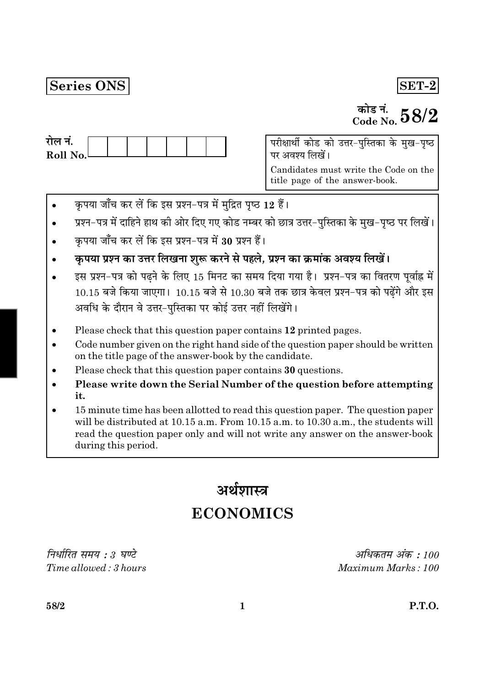# Series ONS

# $|SET-2|$

# कोड नं.<br>Code No.  $58/2$

परीक्षार्थी कोड को उत्तर-पुस्तिका के मुख-पृष्ठ पर अवश्य लिखें।

Candidates must write the Code on the title page of the answer-book.

- कृपया जाँच कर लें कि इस प्रश्न-पत्र में मुद्रित पृष्ठ 12 हैं।
- प्रश्न-पत्र में दाहिने हाथ की ओर दिए गए कोड नम्बर को छात्र उत्तर-पुस्तिका के मुख-पृष्ठ पर लिखें।
- कपया जाँच कर लें कि इस प्रश्न-पत्र में 30 प्रश्न हैं।
- कृपया प्रश्न का उत्तर लिखना शुरू करने से पहले, प्रश्न का क्रमांक अवश्य लिखें।
- इस प्रश्न-पत्र को पढ़ने के लिए 15 मिनट का समय दिया गया है। प्रश्न-पत्र का वितरण पूर्वाह्न में  $10.15$  बजे किया जाएगा।  $10.15$  बजे से  $10.30$  बजे तक छात्र केवल प्रश्न-पत्र को पढेंगे और इस अवधि के दौरान वे उत्तर-पस्तिका पर कोई उत्तर नहीं लिखेंगे।
- Please check that this question paper contains 12 printed pages.
- Code number given on the right hand side of the question paper should be written on the title page of the answer-book by the candidate.
- Please check that this question paper contains 30 questions.
- Please write down the Serial Number of the question before attempting it.
- 15 minute time has been allotted to read this question paper. The question paper will be distributed at 10.15 a.m. From 10.15 a.m. to 10.30 a.m., the students will read the question paper only and will not write any answer on the answer-book during this period.

# अर्थशास्त्र **ECONOMICS**

निर्धारित समय : 3 घण्टे  $Time allowed:3 hours$ 

अधिकतम अंक : 100 Maximum Marks: 100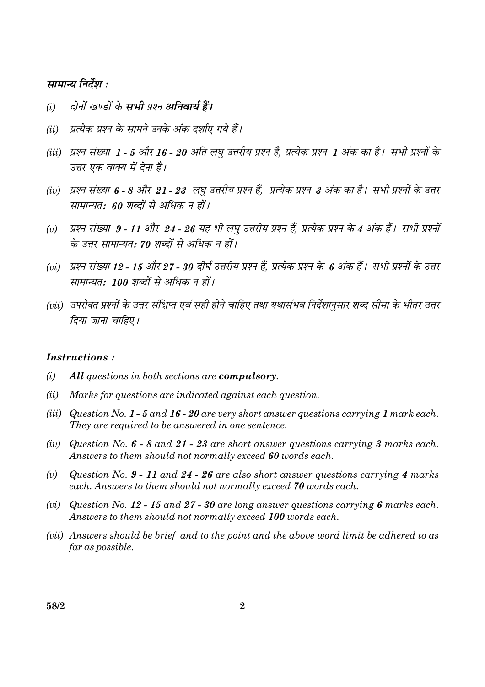#### सामान्य निर्देश :

- दोनों खण्डों के सभी प्रश्न अनिवार्य हैं।  $(i)$
- प्रत्येक प्रश्न के सामने उनके अंक दर्शाए गये हैं।  $(ii)$
- (iii) प्रश्न संख्या 1 5 और 16 20 अति लघु उत्तरीय प्रश्न हैं, प्रत्येक प्रश्न 1 अंक का है। सभी प्रश्नों के उत्तर एक वाक्य में देना है।
- (iv) प्रश्न संख्या 6 8 और 21 23 लघु उत्तरीय प्रश्न हैं, प्रत्येक प्रश्न 3 अंक का है। सभी प्रश्नों के उत्तर सामान्यत: 60 शब्दों से अधिक न हों।
- प्रश्न संख्या 9 11 और 24 26 यह भी लघु उत्तरीय प्रश्न हैं, प्रत्येक प्रश्न के 4 अंक हैं। सभी प्रश्नों  $(v)$ के उत्तर सामान्यत: 70 शब्दों से अधिक न हों।
- (vi) प्रश्न संख्या 12 15 और 27 30 दीर्घ उत्तरीय प्रश्न हैं. प्रत्येक प्रश्न के 6 अंक हैं। सभी प्रश्नों के उत्तर सामान्यत: 100 शब्दों से अधिक न हों।
- (vii) उपरोक्त प्रश्नों के उत्तर संक्षिप्त एवं सही होने चाहिए तथा यथासंभव निर्देशानुसार शब्द सीमा के भीतर उत्तर दिया जाना चाहिए।

#### **Instructions:**

- $(i)$ All questions in both sections are compulsory.
- Marks for questions are indicated against each question.  $(ii)$
- (iii) Question No. 1 5 and 16 20 are very short answer questions carrying 1 mark each. They are required to be answered in one sentence.
- (iv) Question No.  $6 8$  and  $21 23$  are short answer questions carrying 3 marks each. Answers to them should not normally exceed 60 words each.
- Question No. 9 11 and 24 26 are also short answer questions carrying 4 marks  $(v)$ each. Answers to them should not normally exceed 70 words each.
- (vi) Question No. 12 15 and 27 30 are long answer questions carrying 6 marks each. Answers to them should not normally exceed 100 words each.
- (vii) Answers should be brief and to the point and the above word limit be adhered to as far as possible.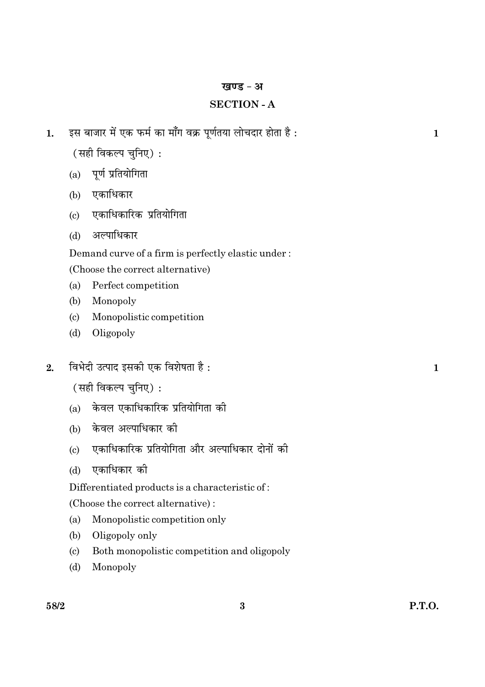#### खण्ड - अ

# **SECTION - A**

- इस बाजार में एक फर्म का माँग वक्र पूर्णतया लोचदार होता है :  $\mathbf{1}$ .
	- (सही विकल्प चनिए):
	- (a) पूर्ण प्रतियोगिता
	- (b) एकाधिकार
	- एकाधिकारिक प्रतियोगिता  $(c)$
	- अल्पाधिकार  $(d)$

Demand curve of a firm is perfectly elastic under:

(Choose the correct alternative)

- $(a)$ Perfect competition
- $(b)$ Monopoly
- $(c)$ Monopolistic competition
- Oligopoly  $(d)$
- विभेदी उत्पाद इसकी एक विशेषता है:  $2.$ 
	- (सही विकल्प चुनिए):
	- केवल एकाधिकारिक प्रतियोगिता की  $(a)$
	- (b) केवल अल्पाधिकार की
	- एकाधिकारिक प्रतियोगिता और अल्पाधिकार दोनों की  $(c)$
	- एकाधिकार की  $(d)$

Differentiated products is a characteristic of:

(Choose the correct alternative):

- $(a)$ Monopolistic competition only
- $(b)$ Oligopoly only
- Both monopolistic competition and oligopoly  $(c)$
- $(d)$ Monopoly

 $\mathbf{1}$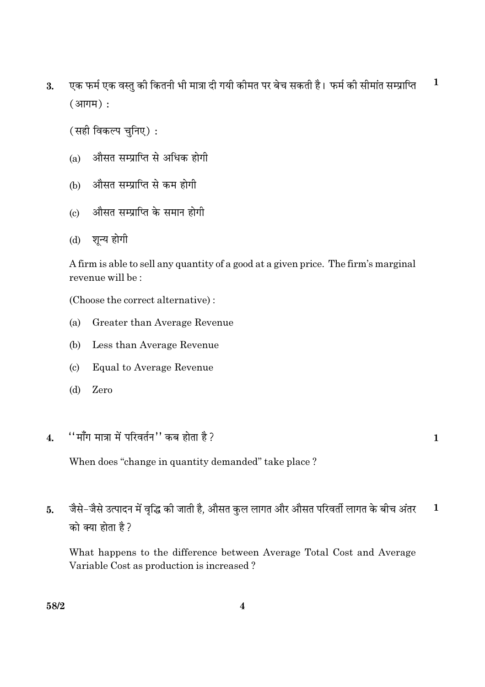एक फर्म एक वस्तु की कितनी भी मात्रा दी गयी कीमत पर बेच सकती है। फर्म की सीमांत सम्प्राप्ति  $\mathbf{1}$  $3.$  $(3$ नागम $)$ :

(सही विकल्प चुनिए):

- औसत सम्प्राप्ति से अधिक होगी  $(a)$
- (b) औसत सम्प्राप्ति से कम होगी
- औसत सम्प्राप्ति के समान होगी  $\epsilon$
- शून्य होगी  $(d)$

A firm is able to sell any quantity of a good at a given price. The firm's marginal revenue will be:

(Choose the correct alternative):

- Greater than Average Revenue (a)
- Less than Average Revenue  $(b)$
- $(c)$ **Equal to Average Revenue**
- $(d)$ Zero
- $"$ माँग मात्रा में परिवर्तन $"$  कब होता है ?  $\overline{\mathbf{4}}$

 $\mathbf{1}$ 

When does "change in quantity demanded" take place?

जैसे-जैसे उत्पादन में वृद्धि की जाती है, औसत कुल लागत और औसत परिवर्ती लागत के बीच अंतर  $\mathbf{1}$  $5<sub>l</sub>$ को क्या होता है ?

What happens to the difference between Average Total Cost and Average Variable Cost as production is increased?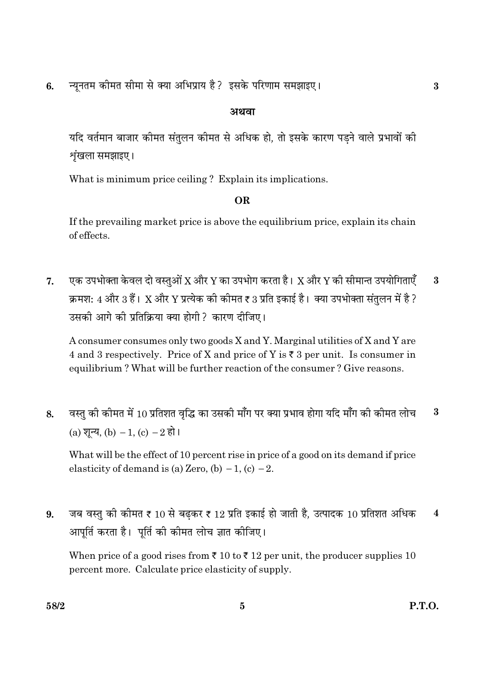न्यूनतम कीमत सीमा से क्या अभिप्राय है? इसके परिणाम समझाइए।  $6.$ 

# अथवा

यदि वर्तमान बाजार कीमत संतलन कीमत से अधिक हो. तो इसके कारण पडने वाले प्रभावों की शृंखला समझाइए।

What is minimum price ceiling? Explain its implications.

# **OR**

If the prevailing market price is above the equilibrium price, explain its chain of effects.

एक उपभोक्ता केवल दो वस्तओं X और Y का उपभोग करता है। X और Y की सीमान्त उपयोगिताएँ 7.  $\bf{3}$ क्रमश: 4 और 3 हैं। X और Y प्रत्येक की कीमत ₹ 3 प्रति इकाई है। क्या उपभोक्ता संतलन में है ? उसकी आगे की प्रतिक्रिया क्या होगी ? कारण दीजिए।

A consumer consumes only two goods X and Y. Marginal utilities of X and Y are 4 and 3 respectively. Price of X and price of Y is  $\overline{\xi}$  3 per unit. Is consumer in equilibrium? What will be further reaction of the consumer? Give reasons.

वस्तु की कीमत में 10 प्रतिशत वृद्धि का उसकी माँग पर क्या प्रभाव होगा यदि माँग की कीमत लोच  $\bf{3}$ 8. (a) शुन्य, (b)  $-1$ , (c)  $-2$  हो।

What will be the effect of 10 percent rise in price of a good on its demand if price elasticity of demand is (a) Zero, (b)  $-1$ , (c)  $-2$ .

जब वस्तु की कीमत ₹ 10 से बढकर ₹ 12 प्रति इकाई हो जाती है, उत्पादक 10 प्रतिशत अधिक  $\mathbf{q}$  $\overline{\mathbf{4}}$ आपर्ति करता है। पर्ति की कीमत लोच ज्ञात कीजिए।

When price of a good rises from  $\bar{\tau}$  10 to  $\bar{\tau}$  12 per unit, the producer supplies 10 percent more. Calculate price elasticity of supply.

 $\bf{3}$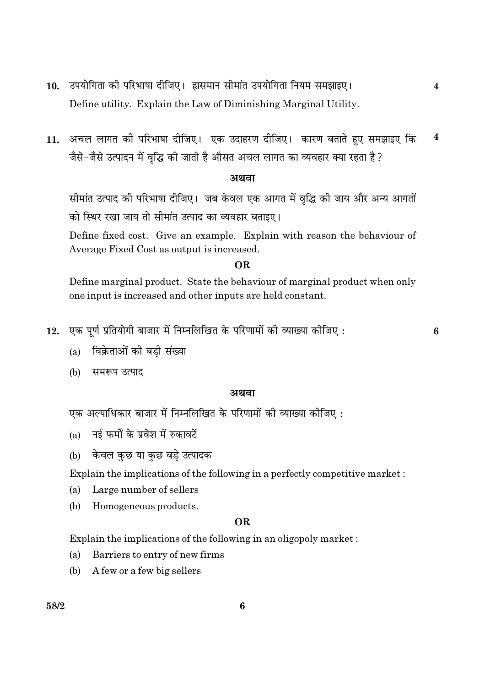- उपयोगिता की परिभाषा दीजिए। ह्रासमान सीमांत उपयोगिता नियम समझाइए।  $10.$ Define utility. Explain the Law of Diminishing Marginal Utility.
- 11. अचल लागत की परिभाषा दीजिए। एक उदाहरण दीजिए। कारण बताते हुए समझाइए कि  $\overline{\mathbf{4}}$ जैसे-जैसे उत्पादन में वृद्धि की जाती है औसत अचल लागत का व्यवहार क्या रहता है?

#### अथवा

सीमांत उत्पाद की परिभाषा दीजिए। जब केवल एक आगत में वृद्धि की जाय और अन्य आगतों को स्थिर रखा जाय तो सीमांत उत्पाद का व्यवहार बताइए।

Define fixed cost. Give an example. Explain with reason the behaviour of Average Fixed Cost as output is increased.

#### **OR**

Define marginal product. State the behaviour of marginal product when only one input is increased and other inputs are held constant.

12. एक पूर्ण प्रतियोगी बाजार में निम्नलिखित के परिणामों की व्याख्या कीजिए:

 $\overline{\mathbf{4}}$ 

- विक्रेताओं की बडी संख्या  $(a)$
- (b) समरूप उत्पाद

#### अथवा

- एक अल्पाधिकार बाजार में निम्नलिखित के परिणामों की व्याख्या कीजिए :
- नई फर्मों के प्रवेश में रुकावटें  $(a)$
- केवल कुछ या कुछ बड़े उत्पादक  $(b)$

Explain the implications of the following in a perfectly competitive market:

- Large number of sellers  $(a)$
- (b) Homogeneous products.

#### **OR**

Explain the implications of the following in an oligopoly market:

- Barriers to entry of new firms  $(a)$
- A few or a few big sellers  $(b)$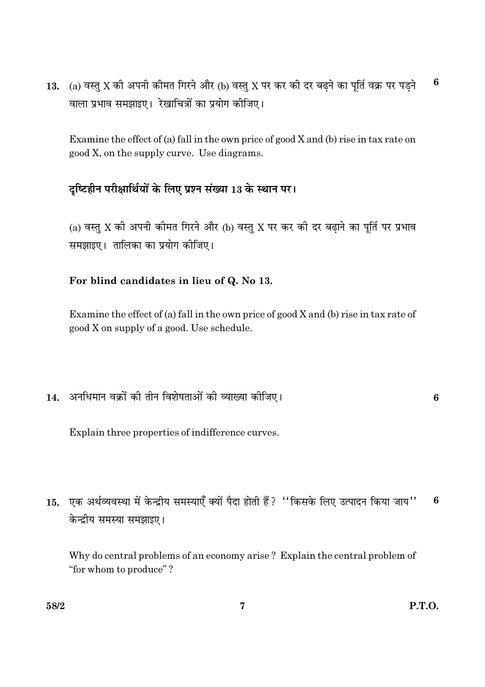(a) वस्तु X की अपनी कीमत गिरने और (b) वस्तु X पर कर की दर बढ़ने का पूर्ति वक्र पर पड़ने 6 13. वाला प्रभाव समझाइए। रेखाचित्रों का प्रयोग कीजिए।

Examine the effect of (a) fall in the own price of good  $X$  and (b) rise in tax rate on good X, on the supply curve. Use diagrams.

# दृष्टिहीन परीक्षार्थियों के लिए प्रश्न संख्या 13 के स्थान पर।

(a) वस्तु X की अपनी कीमत गिरने और (b) वस्तु X पर कर की दर बढ़ाने का पूर्ति पर प्रभाव समझाइए। तालिका का प्रयोग कोजिए।

### For blind candidates in lieu of Q. No 13.

Examine the effect of (a) fall in the own price of good  $X$  and (b) rise in tax rate of good X on supply of a good. Use schedule.

14. अनधिमान वक्रों की तीन विशेषताओं की व्याख्या कीजिए।

 $6\phantom{a}$ 

Explain three properties of indifference curves.

15. एक अर्थव्यवस्था में केन्द्रीय समस्याएँ क्यों पैदा होती हैं ? "किसके लिए उत्पादन किया जाय"  $6\phantom{1}6$ केन्द्रीय समस्या समझाइए।

Why do central problems of an economy arise? Explain the central problem of "for whom to produce"?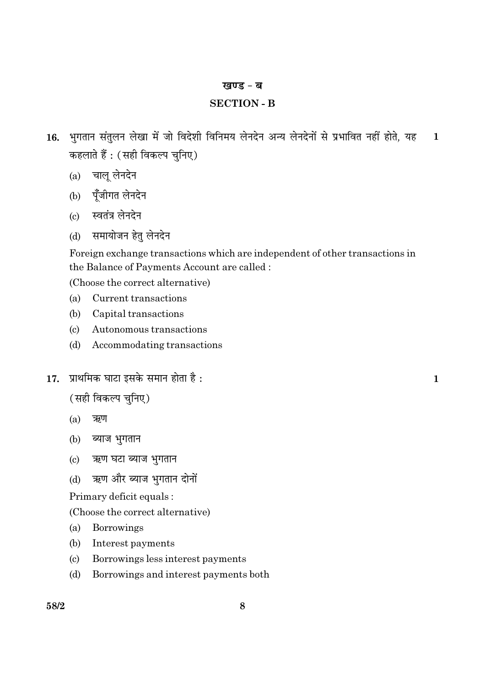#### खण्ड - ब

#### **SECTION - B**

- 16. भुगतान संतुलन लेखा में जो विदेशी विनिमय लेनदेन अन्य लेनदेनों से प्रभावित नहीं होते, यह  $\mathbf{1}$ कहलाते हैं : (सही विकल्प चुनिए)
	- (a) चालू लेनदेन
	- (b) पूँजीगत लेनदेन
	- (c) स्वतंत्र लेनदेन
	- समायोजन हेतु लेनदेन  $(d)$

Foreign exchange transactions which are independent of other transactions in the Balance of Payments Account are called:

(Choose the correct alternative)

- $(a)$ Current transactions
- $(b)$ Capital transactions
- $(c)$ Autonomous transactions
- $(d)$ Accommodating transactions
- 17. प्राथमिक घाटा इसके समान होता है:

(सही विकल्प चुनिए)

- $(a)$ ऋण
- (b) ब्याज भुगतान
- ऋण घटा ब्याज भुगतान  $\left( \mathrm{e}\right)$
- ऋण और ब्याज भगतान दोनों  $(d)$

Primary deficit equals:

(Choose the correct alternative)

- Borrowings  $(a)$
- $(b)$ Interest payments
- Borrowings less interest payments  $(c)$
- $(d)$ Borrowings and interest payments both

 $\mathbf{1}$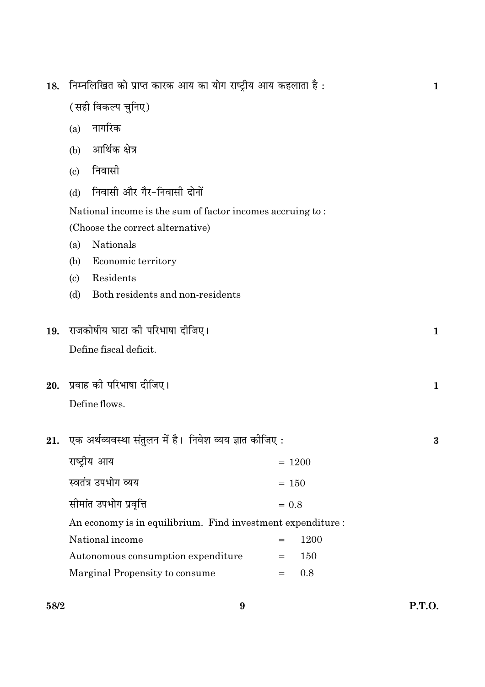| 18.                                                         | निम्नलिखित को प्राप्त कारक आय का योग राष्ट्रीय आय कहलाता है: |         |          |  | 1            |
|-------------------------------------------------------------|--------------------------------------------------------------|---------|----------|--|--------------|
|                                                             | (सही विकल्प चुनिए)                                           |         |          |  |              |
|                                                             | नागरिक<br>(a)                                                |         |          |  |              |
|                                                             | आर्थिक क्षेत्र<br>(b)                                        |         |          |  |              |
|                                                             | निवासी<br>$\left( \mathrm{c}\right)$                         |         |          |  |              |
|                                                             | निवासी और गैर-निवासी दोनों<br>(d)                            |         |          |  |              |
|                                                             | National income is the sum of factor incomes accruing to:    |         |          |  |              |
|                                                             | (Choose the correct alternative)                             |         |          |  |              |
|                                                             | Nationals<br>(a)                                             |         |          |  |              |
|                                                             | Economic territory<br>(b)                                    |         |          |  |              |
|                                                             | Residents<br>$\left( \mathrm{c}\right)$                      |         |          |  |              |
|                                                             | Both residents and non-residents<br>(d)                      |         |          |  |              |
| 19.                                                         | राजकोषीय घाटा की परिभाषा दीजिए।                              |         |          |  | $\mathbf{1}$ |
|                                                             | Define fiscal deficit.                                       |         |          |  |              |
|                                                             |                                                              |         |          |  |              |
| 20.                                                         | प्रवाह को परिभाषा दीजिए।                                     |         |          |  | $\mathbf 1$  |
|                                                             | Define flows.                                                |         |          |  |              |
|                                                             |                                                              |         |          |  | 3            |
| 21.                                                         | एक अर्थव्यवस्था संतुलन में है।  निवेश व्यय ज्ञात कीजिए :     |         |          |  |              |
|                                                             | राष्ट्रीय आय                                                 |         | $= 1200$ |  |              |
|                                                             | स्वतंत्र उपभोग व्यय                                          |         | $= 150$  |  |              |
|                                                             | सीमांत उपभोग प्रवृत्ति                                       | $= 0.8$ |          |  |              |
| An economy is in equilibrium. Find investment expenditure : |                                                              |         |          |  |              |
|                                                             | National income                                              |         | 1200     |  |              |
|                                                             | Autonomous consumption expenditure                           | $=$     | 150      |  |              |
|                                                             | Marginal Propensity to consume                               | $=$     | 0.8      |  |              |
|                                                             |                                                              |         |          |  |              |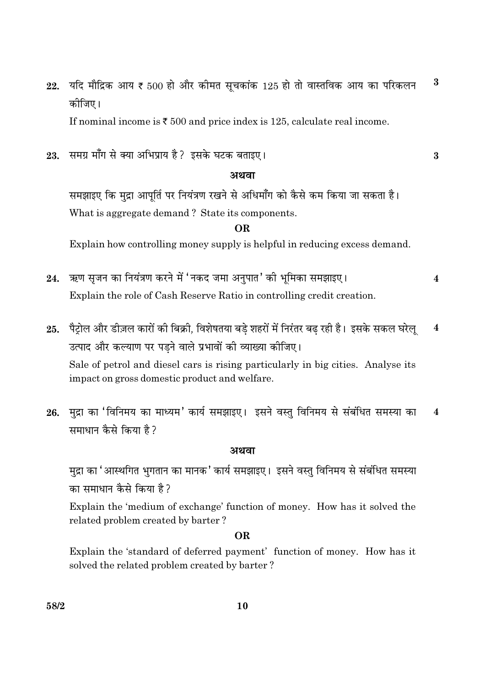$\bf{3}$ यदि मौद्रिक आय ₹ 500 हो और कीमत सूचकांक 125 हो तो वास्तविक आय का परिकलन 22. कोजिए।

If nominal income is  $\overline{\xi}$  500 and price index is 125, calculate real income.

समग्र माँग से क्या अभिप्राय है? इसके घटक बताइए। 23.

#### अथवा

 $\bf{3}$ 

समझाइए कि मुद्रा आपूर्ति पर नियंत्रण रखने से अधिमाँग को कैसे कम किया जा सकता है। What is aggregate demand? State its components.

**OR** 

Explain how controlling money supply is helpful in reducing excess demand.

- ऋण सृजन का नियंत्रण करने में 'नकद जमा अनुपात' की भूमिका समझाइए। 24.  $\overline{\mathbf{4}}$ Explain the role of Cash Reserve Ratio in controlling credit creation.
- पैट्रोल और डीज़ल कारों की बिक्री, विशेषतया बडे शहरों में निरंतर बढ रही है। इसके सकल घरेल्  $\overline{\mathbf{4}}$  $25.$ उत्पाद और कल्याण पर पडने वाले प्रभावों की व्याख्या कीजिए। Sale of petrol and diesel cars is rising particularly in big cities. Analyse its impact on gross domestic product and welfare.
- मुद्रा का 'विनिमय का माध्यम' कार्य समझाइए। इसने वस्तु विनिमय से संबंधित समस्या का 26.  $\overline{\mathbf{4}}$ समाधान कैसे किया है?

#### अथवा

मुद्रा का 'आस्थगित भुगतान का मानक' कार्य समझाइए। इसने वस्तु विनिमय से संबंधित समस्या का समाधान कैसे किया है?

Explain the 'medium of exchange' function of money. How has it solved the related problem created by barter?

#### **OR**

Explain the 'standard of deferred payment' function of money. How has it solved the related problem created by barter?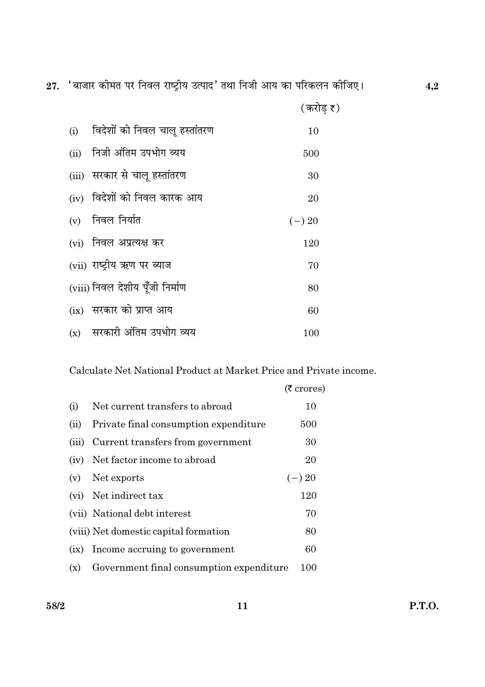27. 'बाजार कीमत पर निवल राष्ट्रीय उत्पाद' तथा निजी आय का परिकलन कीजिए।

|      | (i) विदेशों को निवल चालू हस्तांतरण | 10       |
|------|------------------------------------|----------|
| (ii) | निजी अंतिम उपभोग व्यय              | 500      |
|      | (iii) सरकार से चालू हस्तांतरण      | 30       |
|      | (iv) विदेशों को निवल कारक आय       | 20       |
|      | $(v)$ निवल निर्यात                 | $(-) 20$ |
|      | (vi) निवल अप्रत्यक्ष कर            | 120      |
|      | (vii) राष्ट्रीय ऋण पर ब्याज        | 70       |
|      | (viii) निवल देशीय पूँजी निर्माण    | 80       |
|      | (ix) सरकार को प्राप्त आय           | 60       |
|      | (x) सरकारी अंतिम उपभोग व्यय        | 100      |

Calculate Net National Product at Market Price and Private income.

|       |                                          | $(5 \text{ crores})$ |
|-------|------------------------------------------|----------------------|
| (i)   | Net current transfers to abroad          | 10                   |
| (ii)  | Private final consumption expenditure    | 500                  |
| (iii) | Current transfers from government        | 30                   |
|       | (iv) Net factor income to abroad         | 20                   |
| (v)   | Net exports                              | $(-) 20$             |
|       | (vi) Net indirect tax                    | 120                  |
|       | (vii) National debt interest             | 70                   |
|       | (viii) Net domestic capital formation    | 80                   |
| (ix)  | Income accruing to government            | 60                   |
| (x)   | Government final consumption expenditure | 100                  |

58/2

 $4,2$ 

(करोड़  $\bar{\mathfrak{c}}$  )